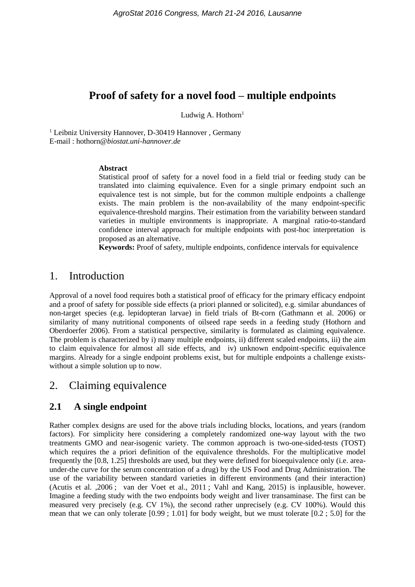# **Proof of safety for a novel food – multiple endpoints**

Ludwig A. Hothorn $<sup>1</sup>$ </sup>

<sup>1</sup> Leibniz University Hannover, D-30419 Hannover, Germany E-mail : hothorn*@biostat.uni-hannover.de*

#### **Abstract**

Statistical proof of safety for a novel food in a field trial or feeding study can be translated into claiming equivalence. Even for a single primary endpoint such an equivalence test is not simple, but for the common multiple endpoints a challenge exists. The main problem is the non-availability of the many endpoint-specific equivalence-threshold margins. Their estimation from the variability between standard varieties in multiple environments is inappropriate. A marginal ratio-to-standard confidence interval approach for multiple endpoints with post-hoc interpretation is proposed as an alternative.

**Keywords:** Proof of safety, multiple endpoints, confidence intervals for equivalence

## 1. Introduction

Approval of a novel food requires both a statistical proof of efficacy for the primary efficacy endpoint and a proof of safety for possible side effects (a priori planned or solicited), e.g. similar abundances of non-target species (e.g. lepidopteran larvae) in field trials of Bt-corn (Gathmann et al. 2006) or similarity of many nutritional components of oilseed rape seeds in a feeding study (Hothorn and Oberdoerfer 2006). From a statistical perspective, similarity is formulated as claiming equivalence. The problem is characterized by i) many multiple endpoints, ii) different scaled endpoints, iii) the aim to claim equivalence for almost all side effects, and iv) unknown endpoint-specific equivalence margins. Already for a single endpoint problems exist, but for multiple endpoints a challenge existswithout a simple solution up to now.

## 2. Claiming equivalence

## **2.1 A single endpoint**

Rather complex designs are used for the above trials including blocks, locations, and years (random factors). For simplicity here considering a completely randomized one-way layout with the two treatments GMO and near-isogenic variety. The common approach is two-one-sided-tests (TOST) which requires the a priori definition of the equivalence thresholds. For the multiplicative model frequently the [0.8, 1.25] thresholds are used, but they were defined for bioequivalence only (i.e. areaunder-the curve for the serum concentration of a drug) by the US Food and Drug Administration. The use of the variability between standard varieties in different environments (and their interaction) (Acutis et al. ,2006 ; van der Voet et al., 2011 ; Vahl and Kang, 2015) is inplausible, however. Imagine a feeding study with the two endpoints body weight and liver transaminase. The first can be measured very precisely (e.g. CV 1%), the second rather unprecisely (e.g. CV 100%). Would this mean that we can only tolerate [0.99 ; 1.01] for body weight, but we must tolerate [0.2 ; 5.0] for the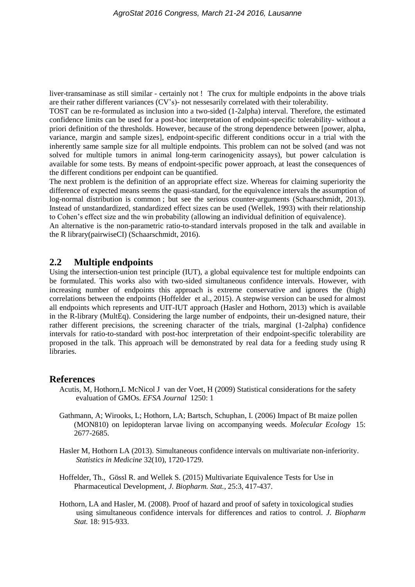liver-transaminase as still similar - certainly not ! The crux for multiple endpoints in the above trials are their rather different variances (CV's)- not nessesarily correlated with their tolerability.

TOST can be re-formulated as inclusion into a two-sided (1-2alpha) interval. Therefore, the estimated confidence limits can be used for a post-hoc interpretation of endpoint-specific tolerability- without a priori definition of the thresholds. However, because of the strong dependence between [power, alpha, variance, margin and sample sizes], endpoint-specific different conditions occur in a trial with the inherently same sample size for all multiple endpoints. This problem can not be solved (and was not solved for multiple tumors in animal long-term carinogenicity assays), but power calculation is available for some tests. By means of endpoint-specific power approach, at least the consequences of the different conditions per endpoint can be quantified.

The next problem is the definition of an appropriate effect size. Whereas for claiming superiority the difference of expected means seems the quasi-standard, for the equivalence intervals the assumption of log-normal distribution is common ; but see the serious counter-arguments (Schaarschmidt, 2013). Instead of unstandardized, standardized effect sizes can be used (Wellek, 1993) with their relationship to Cohen's effect size and the win probability (allowing an individual definition of equivalence).

An alternative is the non-parametric ratio-to-standard intervals proposed in the talk and available in the R library(pairwiseCI) (Schaarschmidt, 2016).

#### **2.2 Multiple endpoints**

Using the intersection-union test principle (IUT), a global equivalence test for multiple endpoints can be formulated. This works also with two-sided simultaneous confidence intervals. However, with increasing number of endpoints this approach is extreme conservative and ignores the (high) correlations between the endpoints (Hoffelder et al., 2015). A stepwise version can be used for almost all endpoints which represents and UIT-IUT approach (Hasler and Hothorn, 2013) which is available in the R-library (MultEq). Considering the large number of endpoints, their un-designed nature, their rather different precisions, the screening character of the trials, marginal (1-2alpha) confidence intervals for ratio-to-standard with post-hoc interpretation of their endpoint-specific tolerability are proposed in the talk. This approach will be demonstrated by real data for a feeding study using R libraries.

### **References**

- Acutis, M, Hothorn,L McNicol J van der Voet, H (2009) Statistical considerations for the safety evaluation of GMOs. *EFSA Journal* 1250: 1
- Gathmann, A; Wirooks, L; Hothorn, LA; Bartsch, Schuphan, I. (2006) Impact of Bt maize pollen (MON810) on lepidopteran larvae living on accompanying weeds. *Molecular Ecology* 15: 2677-2685.
- Hasler M, Hothorn LA (2013). Simultaneous confidence intervals on multivariate non-inferiority. *Statistics in Medicine* 32(10), 1720-1729.
- Hoffelder, Th., Gössl R. and Wellek S. (2015) Multivariate Equivalence Tests for Use in Pharmaceutical Development, *J. Biopharm. Stat.*, 25:3, 417-437.
- Hothorn, LA and Hasler, M. (2008). Proof of hazard and proof of safety in toxicological studies using simultaneous confidence intervals for differences and ratios to control. *J. Biopharm Stat.* 18: 915-933.